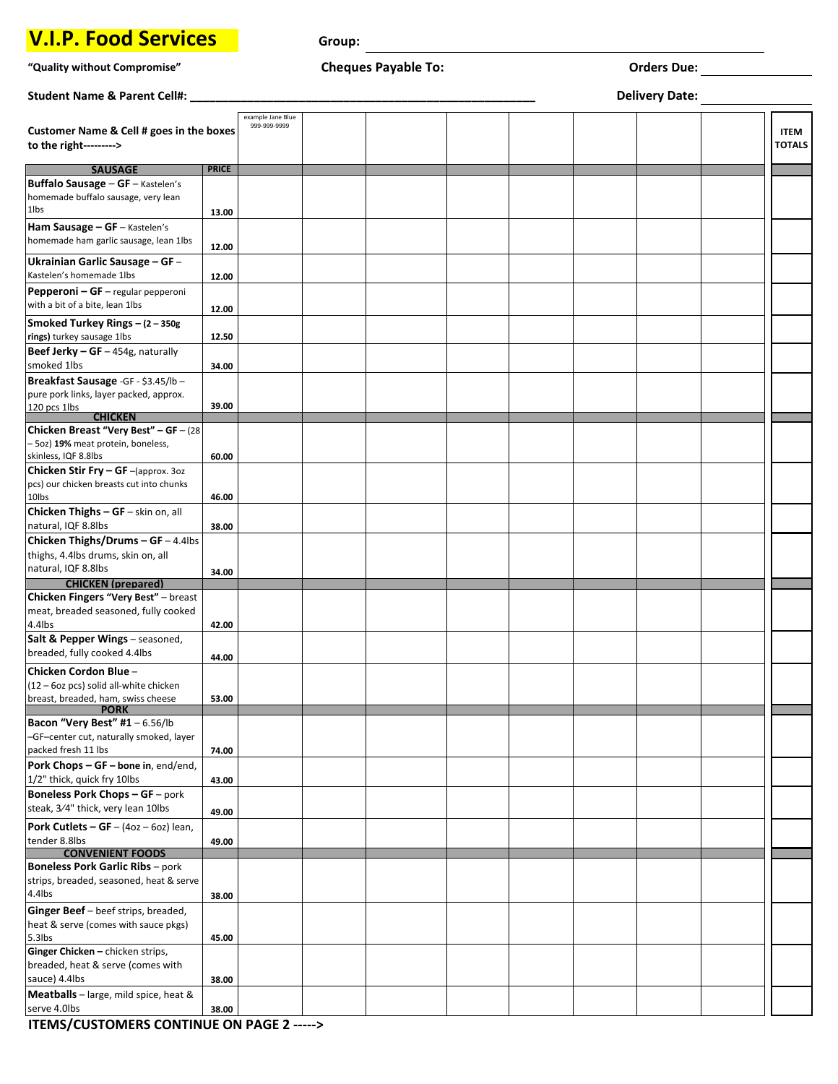## **V.I.P. Food Services**

**Group:** 

## **"Quality without Compromise" Cheques Payable To: Orders Due:**

| Student Name & Parent Cell#:                                    |              |                                   |  |  | <b>Delivery Date:</b> |               |
|-----------------------------------------------------------------|--------------|-----------------------------------|--|--|-----------------------|---------------|
| Customer Name & Cell # goes in the boxes                        |              | example Jane Blue<br>999-999-9999 |  |  |                       | <b>ITEM</b>   |
| to the right--------->                                          |              |                                   |  |  |                       | <b>TOTALS</b> |
| <b>SAUSAGE</b>                                                  | <b>PRICE</b> |                                   |  |  |                       |               |
| Buffalo Sausage - GF - Kastelen's                               |              |                                   |  |  |                       |               |
| homemade buffalo sausage, very lean                             |              |                                   |  |  |                       |               |
| 1lbs                                                            | 13.00        |                                   |  |  |                       |               |
| Ham Sausage - GF - Kastelen's                                   |              |                                   |  |  |                       |               |
| homemade ham garlic sausage, lean 1lbs                          | 12.00        |                                   |  |  |                       |               |
| Ukrainian Garlic Sausage - GF -                                 |              |                                   |  |  |                       |               |
| Kastelen's homemade 1lbs                                        |              |                                   |  |  |                       |               |
| Pepperoni - GF - regular pepperoni                              | 12.00        |                                   |  |  |                       |               |
| with a bit of a bite, lean 1lbs                                 |              |                                   |  |  |                       |               |
|                                                                 | 12.00        |                                   |  |  |                       |               |
| Smoked Turkey Rings - (2 - 350g                                 |              |                                   |  |  |                       |               |
| rings) turkey sausage 1lbs                                      | 12.50        |                                   |  |  |                       |               |
| Beef Jerky $-$ GF $-$ 454g, naturally                           |              |                                   |  |  |                       |               |
| smoked 1lbs                                                     | 34.00        |                                   |  |  |                       |               |
| Breakfast Sausage - GF - \$3.45/lb -                            |              |                                   |  |  |                       |               |
| pure pork links, layer packed, approx.                          |              |                                   |  |  |                       |               |
| 120 pcs 1lbs<br><b>CHICKEN</b>                                  | 39.00        |                                   |  |  |                       |               |
| Chicken Breast "Very Best" - GF - (28                           |              |                                   |  |  |                       |               |
| - 5oz) 19% meat protein, boneless,                              |              |                                   |  |  |                       |               |
| skinless, IQF 8.8lbs                                            | 60.00        |                                   |  |  |                       |               |
| Chicken Stir Fry - GF-(approx. 30z                              |              |                                   |  |  |                       |               |
| pcs) our chicken breasts cut into chunks                        |              |                                   |  |  |                       |               |
| 10lbs                                                           | 46.00        |                                   |  |  |                       |               |
| Chicken Thighs - GF - skin on, all                              |              |                                   |  |  |                       |               |
| natural, IQF 8.8lbs                                             | 38.00        |                                   |  |  |                       |               |
| Chicken Thighs/Drums - GF - 4.4lbs                              |              |                                   |  |  |                       |               |
| thighs, 4.4lbs drums, skin on, all                              |              |                                   |  |  |                       |               |
| natural, IQF 8.8lbs                                             | 34.00        |                                   |  |  |                       |               |
| <b>CHICKEN</b> (prepared)                                       |              |                                   |  |  |                       |               |
| Chicken Fingers "Very Best" - breast                            |              |                                   |  |  |                       |               |
| meat, breaded seasoned, fully cooked                            |              |                                   |  |  |                       |               |
| 4.4lbs                                                          | 42.00        |                                   |  |  |                       |               |
| Salt & Pepper Wings - seasoned,<br>breaded, fully cooked 4.4lbs |              |                                   |  |  |                       |               |
|                                                                 | 44.00        |                                   |  |  |                       |               |
| Chicken Cordon Blue-                                            |              |                                   |  |  |                       |               |
| (12 - 6oz pcs) solid all-white chicken                          |              |                                   |  |  |                       |               |
| breast, breaded, ham, swiss cheese<br><b>PORK</b>               | 53.00        |                                   |  |  |                       |               |
| Bacon "Very Best" #1 - 6.56/lb                                  |              |                                   |  |  |                       |               |
| -GF-center cut, naturally smoked, layer                         |              |                                   |  |  |                       |               |
| packed fresh 11 lbs                                             | 74.00        |                                   |  |  |                       |               |
| Pork Chops - GF - bone in, end/end,                             |              |                                   |  |  |                       |               |
| 1/2" thick, quick fry 10lbs                                     | 43.00        |                                   |  |  |                       |               |
| <b>Boneless Pork Chops - GF</b> - pork                          |              |                                   |  |  |                       |               |
| steak, 3/4" thick, very lean 10lbs                              | 49.00        |                                   |  |  |                       |               |
| <b>Pork Cutlets - GF</b> - $(4oz - 6oz)$ lean,                  |              |                                   |  |  |                       |               |
| tender 8.8lbs                                                   | 49.00        |                                   |  |  |                       |               |
| <b>CONVENIENT FOODS</b>                                         |              |                                   |  |  |                       |               |
| <b>Boneless Pork Garlic Ribs</b> - pork                         |              |                                   |  |  |                       |               |
| strips, breaded, seasoned, heat & serve                         |              |                                   |  |  |                       |               |
| 4.4lbs                                                          | 38.00        |                                   |  |  |                       |               |
| Ginger Beef - beef strips, breaded,                             |              |                                   |  |  |                       |               |
| heat & serve (comes with sauce pkgs)                            |              |                                   |  |  |                       |               |
| 5.3lbs                                                          | 45.00        |                                   |  |  |                       |               |
| Ginger Chicken - chicken strips,                                |              |                                   |  |  |                       |               |
| breaded, heat & serve (comes with                               |              |                                   |  |  |                       |               |
| sauce) 4.4lbs                                                   | 38.00        |                                   |  |  |                       |               |
| Meatballs - large, mild spice, heat &                           |              |                                   |  |  |                       |               |
| serve 4.0lbs                                                    | 38.00        |                                   |  |  |                       |               |

**ITEMS/CUSTOMERS CONTINUE ON PAGE 2 ----->**